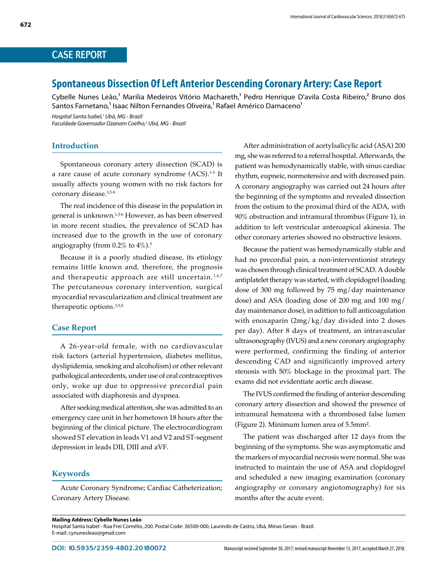# CASE REPORT

# **Spontaneous Dissection Of Left Anterior Descending Coronary Artery: Case Report**

Cybelle Nunes Leão,<sup>1</sup> Marilia Medeiros Vitório Machareth,<sup>1</sup> Pedro Henrique D'avila Costa Ribeiro,<sup>2</sup> Bruno dos Santos Farnetano,<sup>1</sup> Isaac Nilton Fernandes Oliveira,<sup>1</sup> Rafael Américo Damaceno<sup>1</sup>

*Hospital Santa Isabel,1 Ubá, MG - Brazil Faculdade Governador Ozanam Coelho,2 Ubá, MG - Brazil*

## **Introduction**

Spontaneous coronary artery dissection (SCAD) is a rare cause of acute coronary syndrome (ACS).<sup>1-5</sup> It usually affects young women with no risk factors for coronary disease.<sup>3,5-8</sup>

The real incidence of this disease in the population in general is unknown.1,3-6 However, as has been observed in more recent studies, the prevalence of SCAD has increased due to the growth in the use of coronary angiography (from 0.2% to 4%).5

Because it is a poorly studied disease, its etiology remains little known and, therefore, the prognosis and therapeutic approach are still uncertain.<sup>1,6,7</sup> The percutaneous coronary intervention, surgical myocardial revascularization and clinical treatment are therapeutic options.3,5,8

#### **Case Report**

A 26-year-old female, with no cardiovascular risk factors (arterial hypertension, diabetes mellitus, dyslipidemia, smoking and alcoholism) or other relevant pathological antecedents, under use of oral contraceptives only, woke up due to oppressive precordial pain associated with diaphoresis and dyspnea.

After seeking medical attention, she was admitted to an emergency care unit in her hometown 18 hours after the beginning of the clinical picture. The electrocardiogram showed ST elevation in leads V1 and V2 and ST-segment depression in leads DII, DIII and aVF.

### **Keywords**

Acute Coronary Syndrome; Cardiac Catheterization; Coronary Artery Disease.

After administration of acetylsalicylic acid (ASA) 200 mg, she was referred to a referral hospital. Afterwards, the patient was hemodynamically stable, with sinus cardiac rhythm, eupneic, normotensive and with decreased pain. A coronary angiography was carried out 24 hours after the beginning of the symptoms and revealed dissection from the ostium to the proximal third of the ADA, with 90% obstruction and intramural thrombus (Figure 1), in addition to left ventricular anteroapical akinesia. The other coronary arteries showed no obstructive lesions.

Because the patient was hemodynamically stable and had no precordial pain, a non-interventionist strategy was chosen through clinical treatment of SCAD. A double antiplatelet therapy was started, with clopidogrel (loading dose of 300 mg followed by 75 mg/day maintenance dose) and ASA (loading dose of 200 mg and 100 mg/ day maintenance dose), in adittion to full anticoagulation with enoxaparin (2mg/kg/day divided into 2 doses per day). After 8 days of treatment, an intravascular ultrasonography (IVUS) and a new coronary angiography were performed, confirming the finding of anterior descending CAD and significantly improved artery stenosis with 50% blockage in the proximal part. The exams did not evidentiate aortic arch disease.

The IVUS confirmed the finding of anterior descending coronary artery dissection and showed the presence of intramural hematoma with a thrombosed false lumen (Figure 2). Minimum lumen area of 5.5mm².

The patient was discharged after 12 days from the beginning of the symptoms. She was asymptomatic and the markers of myocardial necrosis were normal. She was instructed to maintain the use of ASA and clopidogrel and scheduled a new imaging examination (coronary angiography or coronary angiotomography) for six months after the acute event.

Hospital Santa Isabel - Rua Frei Cornélio, 200. Postal Code: 36500-000, Laurindo de Castro, Ubá, Minas Gerais - Brazil. E-mail: cynunesleao@gmail.com

**Mailing Address: Cybelle Nunes Leão**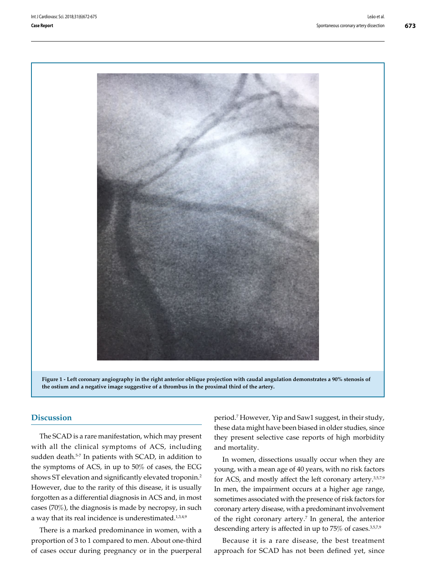**673**





## **Discussion**

The SCAD is a rare manifestation, which may present with all the clinical symptoms of ACS, including sudden death.<sup>5-7</sup> In patients with SCAD, in addition to the symptoms of ACS, in up to 50% of cases, the ECG shows ST elevation and significantly elevated troponin.<sup>2</sup> However, due to the rarity of this disease, it is usually forgotten as a differential diagnosis in ACS and, in most cases (70%), the diagnosis is made by necropsy, in such a way that its real incidence is underestimated.<sup>1,3,4,9</sup>

There is a marked predominance in women, with a proportion of 3 to 1 compared to men. About one-third of cases occur during pregnancy or in the puerperal period.7 However, Yip and Saw1 suggest, in their study, these data might have been biased in older studies, since they present selective case reports of high morbidity and mortality.

In women, dissections usually occur when they are young, with a mean age of 40 years, with no risk factors for ACS, and mostly affect the left coronary artery.3,5,7,9 In men, the impairment occurs at a higher age range, sometimes associated with the presence of risk factors for coronary artery disease, with a predominant involvement of the right coronary artery.7 In general, the anterior descending artery is affected in up to 75% of cases.3,5,7,9

Because it is a rare disease, the best treatment approach for SCAD has not been defined yet, since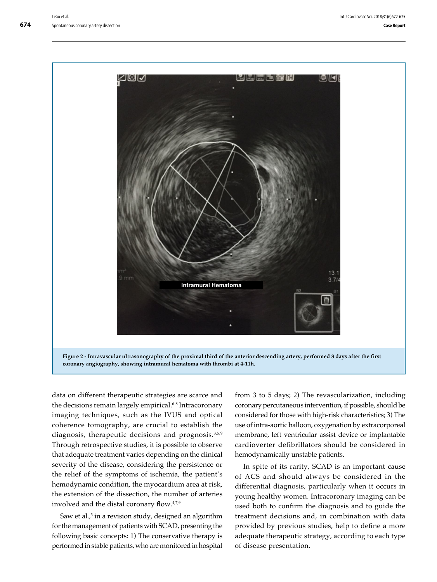

data on different therapeutic strategies are scarce and the decisions remain largely empirical.<sup>6-8</sup> Intracoronary imaging techniques, such as the IVUS and optical coherence tomography, are crucial to establish the diagnosis, therapeutic decisions and prognosis.3,5,9 Through retrospective studies, it is possible to observe that adequate treatment varies depending on the clinical severity of the disease, considering the persistence or the relief of the symptoms of ischemia, the patient's hemodynamic condition, the myocardium area at risk, the extension of the dissection, the number of arteries involved and the distal coronary flow.4,7,9

Saw et al.,<sup>3</sup> in a revision study, designed an algorithm for the management of patients with SCAD, presenting the following basic concepts: 1) The conservative therapy is performed in stable patients, who are monitored in hospital

from 3 to 5 days; 2) The revascularization, including coronary percutaneous intervention, if possible, should be considered for those with high-risk characteristics; 3) The use of intra-aortic balloon, oxygenation by extracorporeal membrane, left ventricular assist device or implantable cardioverter defibrillators should be considered in hemodynamically unstable patients.

In spite of its rarity, SCAD is an important cause of ACS and should always be considered in the differential diagnosis, particularly when it occurs in young healthy women. Intracoronary imaging can be used both to confirm the diagnosis and to guide the treatment decisions and, in combination with data provided by previous studies, help to define a more adequate therapeutic strategy, according to each type of disease presentation.